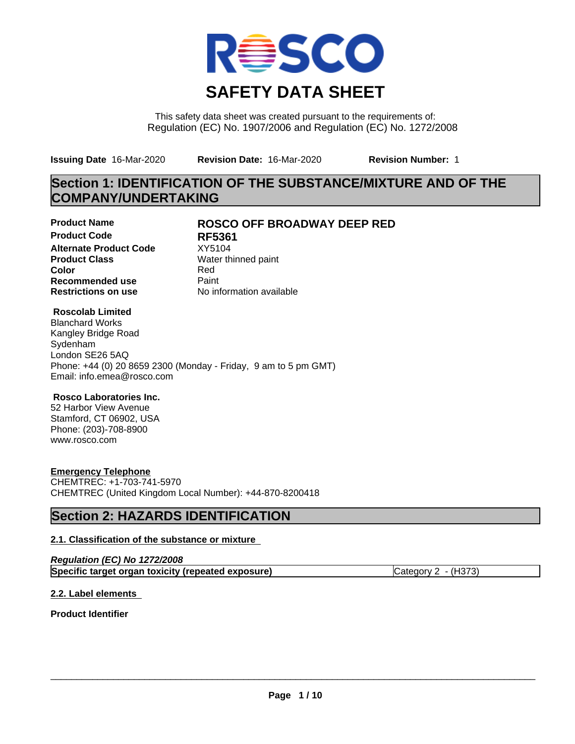

This safety data sheet was created pursuant to the requirements of: Regulation (EC) No. 1907/2006 and Regulation (EC) No. 1272/2008

**Issuing Date** 16-Mar-2020 **Revision Date:** 16-Mar-2020 **Revision Number:** 1

# **Section 1: IDENTIFICATION OF THE SUBSTANCE/MIXTURE AND OF THE COMPANY/UNDERTAKING**

**Product Code RF5361 Alternate Product Code** XY5104<br>**Product Class** Water th **Product Class** Water thinned paint<br> **Color** Red **Color** Red **Recommended use** Paint<br> **Restrictions on use** Mo information available **Restrictions on use** 

# **Product Name ROSCO OFF BROADWAY DEEP RED**

# **Roscolab Limited**

Blanchard Works Kangley Bridge Road Sydenham London SE26 5AQ Phone: +44 (0) 20 8659 2300 (Monday - Friday, 9 am to 5 pm GMT) Email: info.emea@rosco.com

# **Rosco Laboratories Inc.**

52 Harbor View Avenue Stamford, CT 06902, USA Phone: (203)-708-8900 www.rosco.com

# **Emergency Telephone**

CHEMTREC: +1-703-741-5970 CHEMTREC (United Kingdom Local Number): +44-870-8200418

# **Section 2: HAZARDS IDENTIFICATION**

# **2.1. Classification of the substance or mixture**

| Regulation (EC) No 1272/2008                       |                       |
|----------------------------------------------------|-----------------------|
| Specific target organ toxicity (repeated exposure) | Category $2 - (H373)$ |

# **2.2. Label elements**

**Product Identifier**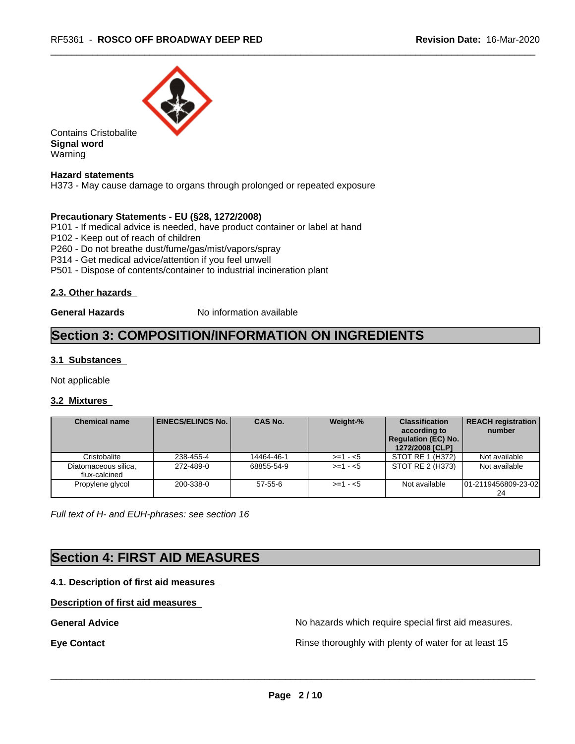

Contains Cristobalite **Signal word** Warning

#### **Hazard statements**

H373 - May cause damage to organs through prolonged or repeated exposure

#### **Precautionary Statements - EU (§28, 1272/2008)**

P101 - If medical advice is needed, have product container or label at hand

- P102 Keep out of reach of children
- P260 Do not breathe dust/fume/gas/mist/vapors/spray
- P314 Get medical advice/attention if you feel unwell
- P501 Dispose of contents/container to industrial incineration plant

## **2.3. Other hazards**

**General Hazards** No information available

# **Section 3: COMPOSITION/INFORMATION ON INGREDIENTS**

## **3.1 Substances**

Not applicable

## **3.2 Mixtures**

| <b>Chemical name</b>                  | EINECS/ELINCS No. | <b>CAS No.</b> | Weight-%    | <b>Classification</b><br>according to<br><b>Regulation (EC) No.</b><br>1272/2008 [CLP] | <b>REACH registration</b><br>number |
|---------------------------------------|-------------------|----------------|-------------|----------------------------------------------------------------------------------------|-------------------------------------|
| Cristobalite                          | 238-455-4         | 14464-46-1     | $>=1 - 5$   | STOT RE 1 (H372)                                                                       | Not available                       |
| Diatomaceous silica,<br>flux-calcined | 272-489-0         | 68855-54-9     | $> = 1 - 5$ | STOT RE 2 (H373)                                                                       | Not available                       |
| Propylene glycol                      | 200-338-0         | $57-55-6$      | $>= 1 - 5$  | Not available                                                                          | 101-2119456809-23-02                |

*Full text of H- and EUH-phrases: see section 16*

# **Section 4: FIRST AID MEASURES**

## **4.1. Description of first aid measures**

## **Description of first aid measures**

**General Advice** No hazards which require special first aid measures.

**Eye Contact Exercise 20 All 20 All 20 All 20 All 20 All 20 All 20 All 20 All 20 All 20 All 20 All 20 All 20 All 20 All 20 All 20 All 20 All 20 All 20 All 20 All 20 All 20 All 20 All 20 All 20 All 20 All 20 All 20 All 20**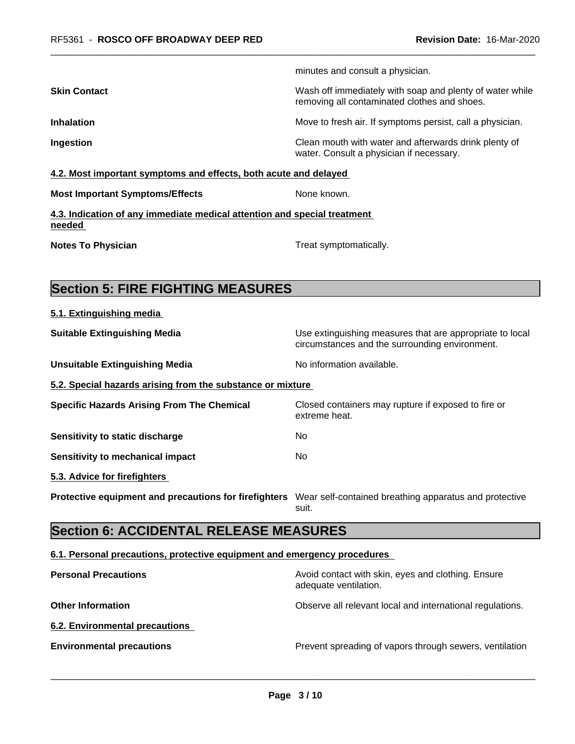minutes and consult a physician.

**Skin Contact** Mash of immediately with soap and plenty of water while removing all contaminated clothes and shoes. **Inhalation** Move to fresh air. If symptoms persist, call a physician. **Ingestion Ingestion Clean mouth with water and afterwards drink plenty of** Clean mouth with water and afterwards drink plenty of water. Consult a physician if necessary. **4.2. Most important symptoms and effects, both acute and delayed Most Important Symptoms/Effects** None known. **4.3. Indication of any immediate medical attention and special treatment needed Notes To Physician Treat symptomatically.** Treat symptomatically. **Section 5: FIRE FIGHTING MEASURES 5.1. Extinguishing media Suitable Extinguishing Media** Media Use extinguishing measures that are appropriate to local circumstances and the surrounding environment. **Unsuitable Extinguishing Media** Noinformation available. **5.2. Special hazards arising from the substance or mixture Specific Hazards Arising From The Chemical** Closed containers may rupture ifexposed to fire or extreme heat. **Sensitivity to static discharge** No **Sensitivity to mechanical impact** No **5.3. Advice for firefighters Protective equipment and precautions for firefighters** Wear self-contained breathing apparatus and protective suit. **Section 6: ACCIDENTAL RELEASE MEASURES 6.1. Personal precautions, protective equipment and emergency procedures Personal Precautions Avoid contact with skin, eyes and clothing. Ensure Personal Precautions** adequate ventilation. **Other Information Observe all relevant local and international regulations.** 

**6.2. Environmental precautions**

**Environmental precautions Environmental precautions Prevent spreading of vapors through sewers, ventilation**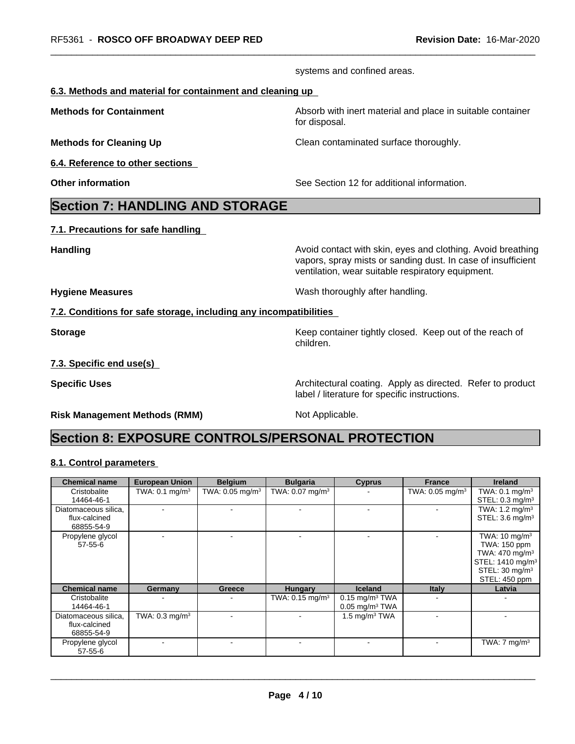|                                                                   | systems and confined areas.                                                                                                                                                      |  |
|-------------------------------------------------------------------|----------------------------------------------------------------------------------------------------------------------------------------------------------------------------------|--|
| 6.3. Methods and material for containment and cleaning up         |                                                                                                                                                                                  |  |
| <b>Methods for Containment</b>                                    | Absorb with inert material and place in suitable container<br>for disposal.                                                                                                      |  |
| <b>Methods for Cleaning Up</b>                                    | Clean contaminated surface thoroughly.                                                                                                                                           |  |
| 6.4. Reference to other sections                                  |                                                                                                                                                                                  |  |
| <b>Other information</b>                                          | See Section 12 for additional information.                                                                                                                                       |  |
| <b>Section 7: HANDLING AND STORAGE</b>                            |                                                                                                                                                                                  |  |
| 7.1. Precautions for safe handling                                |                                                                                                                                                                                  |  |
| <b>Handling</b>                                                   | Avoid contact with skin, eyes and clothing. Avoid breathing<br>vapors, spray mists or sanding dust. In case of insufficient<br>ventilation, wear suitable respiratory equipment. |  |
| <b>Hygiene Measures</b>                                           | Wash thoroughly after handling.                                                                                                                                                  |  |
| 7.2. Conditions for safe storage, including any incompatibilities |                                                                                                                                                                                  |  |
| <b>Storage</b>                                                    | Keep container tightly closed. Keep out of the reach of<br>children.                                                                                                             |  |
| 7.3. Specific end use(s)                                          |                                                                                                                                                                                  |  |
| <b>Specific Uses</b>                                              | Architectural coating. Apply as directed. Refer to product<br>label / literature for specific instructions.                                                                      |  |
| <b>Risk Management Methods (RMM)</b>                              | Not Applicable.                                                                                                                                                                  |  |

# **8.1. Control parameters**

| <b>Chemical name</b>                                | <b>European Union</b>     | <b>Belgium</b>                | <b>Bulgaria</b>               | <b>Cyprus</b>                                                | <b>France</b>                 | <b>Ireland</b>                                                                                                                                       |
|-----------------------------------------------------|---------------------------|-------------------------------|-------------------------------|--------------------------------------------------------------|-------------------------------|------------------------------------------------------------------------------------------------------------------------------------------------------|
| Cristobalite<br>14464-46-1                          | TWA: $0.1 \text{ mg/m}^3$ | TWA: $0.05$ mg/m <sup>3</sup> | TWA: $0.07$ mg/m <sup>3</sup> |                                                              | TWA: $0.05$ mg/m <sup>3</sup> | TWA: $0.1 \text{ mg/m}^3$<br>STEL: $0.3 \text{ mg/m}^3$                                                                                              |
| Diatomaceous silica,<br>flux-calcined<br>68855-54-9 |                           |                               |                               |                                                              | $\overline{\phantom{a}}$      | TWA: $1.2 \text{ mg/m}^3$<br>STEL: 3.6 mg/m <sup>3</sup>                                                                                             |
| Propylene glycol<br>$57 - 55 - 6$                   |                           |                               |                               |                                                              |                               | TWA: $10 \text{ mg/m}^3$<br>TWA: 150 ppm<br>TWA: $470 \text{ mg/m}^3$<br>STEL: 1410 mg/m <sup>3</sup><br>STEL: 30 mg/m <sup>3</sup><br>STEL: 450 ppm |
| <b>Chemical name</b>                                | Germany                   | Greece                        | <b>Hungary</b>                | <b>Iceland</b>                                               | <b>Italy</b>                  | Latvia                                                                                                                                               |
| Cristobalite<br>14464-46-1                          |                           |                               | TWA: $0.15 \text{ mg/m}^3$    | $0.15$ mg/m <sup>3</sup> TWA<br>$0.05$ mg/m <sup>3</sup> TWA |                               |                                                                                                                                                      |
| Diatomaceous silica,<br>flux-calcined<br>68855-54-9 | TWA: $0.3 \text{ mg/m}^3$ |                               |                               | 1.5 mg/m $3$ TWA                                             |                               |                                                                                                                                                      |
| Propylene glycol<br>$57 - 55 - 6$                   |                           |                               |                               |                                                              | $\blacksquare$                | TWA: $7 \text{ mg/m}^3$                                                                                                                              |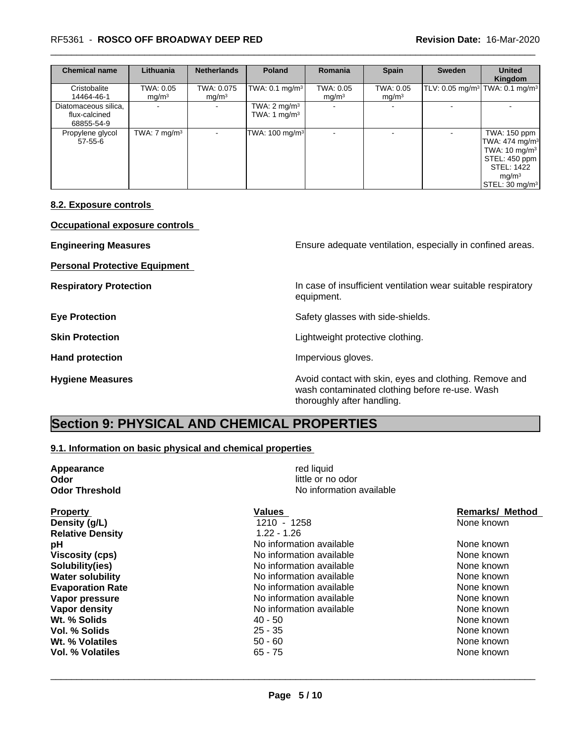## \_\_\_\_\_\_\_\_\_\_\_\_\_\_\_\_\_\_\_\_\_\_\_\_\_\_\_\_\_\_\_\_\_\_\_\_\_\_\_\_\_\_\_\_\_\_\_\_\_\_\_\_\_\_\_\_\_\_\_\_\_\_\_\_\_\_\_\_\_\_\_\_\_\_\_\_\_\_\_\_\_\_\_\_\_\_\_\_\_\_\_\_\_ RF5361 - **ROSCO OFF BROADWAY DEEP RED Revision Date:** 16-Mar-2020

| <b>Chemical name</b>                                | Lithuania                      | <b>Netherlands</b>              | <b>Poland</b>                             | <b>Romania</b>                 | <b>Spain</b>                   | Sweden                                                 | <b>United</b><br>Kingdom                                                                                                                                           |
|-----------------------------------------------------|--------------------------------|---------------------------------|-------------------------------------------|--------------------------------|--------------------------------|--------------------------------------------------------|--------------------------------------------------------------------------------------------------------------------------------------------------------------------|
| Cristobalite<br>14464-46-1                          | TWA: 0.05<br>mg/m <sup>3</sup> | TWA: 0.075<br>mg/m <sup>3</sup> | TWA: $0.1$ mg/m <sup>3</sup>              | TWA: 0.05<br>mg/m <sup>3</sup> | TWA: 0.05<br>mg/m <sup>3</sup> | TLV: 0.05 mg/m <sup>3</sup> TWA: 0.1 mg/m <sup>3</sup> |                                                                                                                                                                    |
| Diatomaceous silica.<br>flux-calcined<br>68855-54-9 |                                | $\overline{\phantom{a}}$        | TWA: $2 \text{ mg/m}^3$<br>TWA: 1 $mg/m3$ |                                | $\sim$                         |                                                        |                                                                                                                                                                    |
| Propylene glycol<br>$57 - 55 - 6$                   | TWA: $7 \text{ mg/m}^3$        | $\sim$                          | TWA: 100 mg/m <sup>3</sup>                |                                | $\sim$                         |                                                        | TWA: 150 ppm<br>TWA: $474$ mg/m <sup>3</sup><br>TWA: $10 \text{ mg/m}^3$<br>STEL: 450 ppm<br>STEL: 1422<br>mq/m <sup>3</sup><br>$\textsf{STEL}: 30 \text{ mg/m}^3$ |

## **8.2. Exposure controls**

**Occupational exposure controls**

| <b>Engineering Measures</b>          | Ensure adequate ventilation, especially in confined areas.                                                                             |
|--------------------------------------|----------------------------------------------------------------------------------------------------------------------------------------|
| <b>Personal Protective Equipment</b> |                                                                                                                                        |
| <b>Respiratory Protection</b>        | In case of insufficient ventilation wear suitable respiratory<br>equipment.                                                            |
| <b>Eye Protection</b>                | Safety glasses with side-shields.                                                                                                      |
| <b>Skin Protection</b>               | Lightweight protective clothing.                                                                                                       |
| <b>Hand protection</b>               | Impervious gloves.                                                                                                                     |
| <b>Hygiene Measures</b>              | Avoid contact with skin, eyes and clothing. Remove and<br>wash contaminated clothing before re-use. Wash<br>thoroughly after handling. |

# **Section 9: PHYSICAL AND CHEMICAL PROPERTIES**

# **9.1. Information on basic physical and chemical properties**

| Appearance              | red liquid               |                        |  |  |
|-------------------------|--------------------------|------------------------|--|--|
| Odor                    | little or no odor        |                        |  |  |
| <b>Odor Threshold</b>   | No information available |                        |  |  |
| <b>Property</b>         | Values                   | <b>Remarks/ Method</b> |  |  |
| Density (g/L)           | 1210 - 1258              | None known             |  |  |
| <b>Relative Density</b> | $1.22 - 1.26$            |                        |  |  |
| рH                      | No information available | None known             |  |  |
| <b>Viscosity (cps)</b>  | No information available | None known             |  |  |
| Solubility(ies)         | No information available | None known             |  |  |
| <b>Water solubility</b> | No information available | None known             |  |  |
| <b>Evaporation Rate</b> | No information available | None known             |  |  |
| Vapor pressure          | No information available | None known             |  |  |
| Vapor density           | No information available | None known             |  |  |
| Wt. % Solids            | 40 - 50                  | None known             |  |  |
| Vol. % Solids           | $25 - 35$                | None known             |  |  |
| Wt. % Volatiles         | $50 - 60$                | None known             |  |  |

**Vol. % Volatiles COLOGITY CONSUMING THE SECOND CONSUMING SET ASSOCIATE None known** None known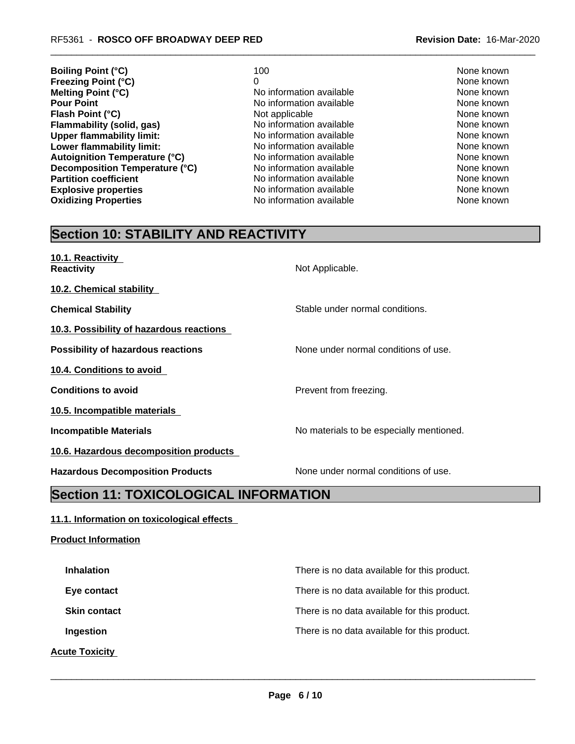- **Boiling Point (°C)** 100 100 None known **Freezing Point (°C)**<br> **Melting Point (°C)**<br> **Melting Point (°C)**<br> **Melting Point (°C)**<br> **Melting Point (°C)**<br> **Melting Point (°C) Melting Point (°C)**<br> **Melting Point (°C)**<br> **No information available** None known<br>
None known<br>
None known **Flash Point (°C)**<br> **Flammability (solid, gas)** Not applicable Not available None known<br>
Not applicable None Known None known **Flammability (solid, gas)** No information available None Known<br>
None known<br>
No information available None Known<br>
None known **Upper flammability limit:** No information available None known None known **Lower flammability limit:** No information available and the Mone known<br> **Autoignition Temperature (°C)** No information available and the None known **Autoignition Temperature (°C)**  $\qquad$  No information available  $\qquad$  None known  $\qquad$  None known  $\qquad$  None known  $\qquad$  None known  $\qquad$  None known  $\qquad$ **Decomposition Temperature (°C)** No information available None known **Partition coefficient No information available** None known **Explosive properties** The Mone of None Known No information available None Known None known **Oxidizing Properties No information available** None known
	- **No information available**

# **Section 10: STABILITY AND REACTIVITY**

| 10.1. Reactivity<br><b>Reactivity</b>     | Not Applicable.                          |
|-------------------------------------------|------------------------------------------|
| 10.2. Chemical stability                  |                                          |
| <b>Chemical Stability</b>                 | Stable under normal conditions.          |
| 10.3. Possibility of hazardous reactions  |                                          |
| <b>Possibility of hazardous reactions</b> | None under normal conditions of use.     |
| 10.4. Conditions to avoid                 |                                          |
| <b>Conditions to avoid</b>                | Prevent from freezing.                   |
| 10.5. Incompatible materials              |                                          |
| <b>Incompatible Materials</b>             | No materials to be especially mentioned. |
| 10.6. Hazardous decomposition products    |                                          |
| <b>Hazardous Decomposition Products</b>   | None under normal conditions of use.     |

# **Section 11: TOXICOLOGICAL INFORMATION**

# **11.1. Information on toxicological effects**

**Product Information**

| <b>Inhalation</b>     | There is no data available for this product. |
|-----------------------|----------------------------------------------|
| Eye contact           | There is no data available for this product. |
| <b>Skin contact</b>   | There is no data available for this product. |
| Ingestion             | There is no data available for this product. |
| <b>Acute Toxicity</b> |                                              |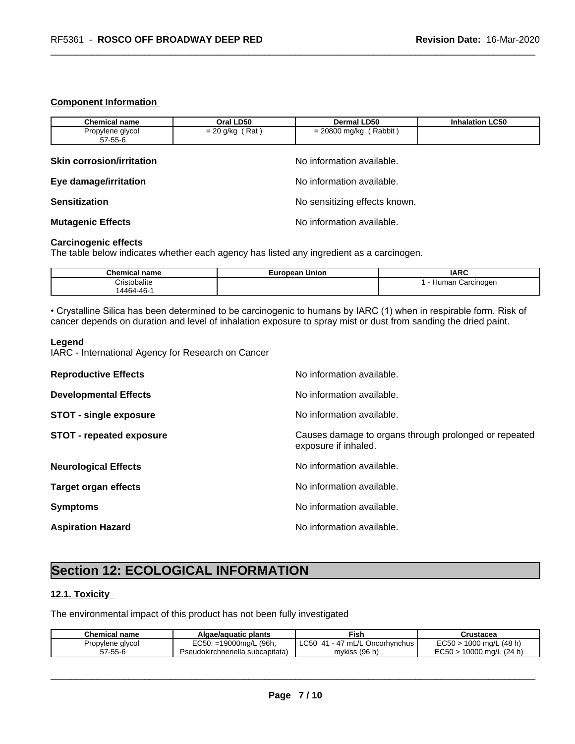#### **Component Information**

| <b>Chemical name</b>             | Oral LD50                     | <b>Dermal LD50</b>       | <b>Inhalation LC50</b> |  |  |
|----------------------------------|-------------------------------|--------------------------|------------------------|--|--|
| Propylene glycol<br>57-55-6      | $= 20$ g/kg (Rat)             | $= 20800$ mg/kg (Rabbit) |                        |  |  |
| <b>Skin corrosion/irritation</b> | No information available.     |                          |                        |  |  |
| Eye damage/irritation            | No information available.     |                          |                        |  |  |
| <b>Sensitization</b>             | No sensitizing effects known. |                          |                        |  |  |
| <b>Mutagenic Effects</b>         | No information available.     |                          |                        |  |  |

#### **Carcinogenic effects**

The table below indicates whether each agency has listed any ingredient as a carcinogen.

| <b>Than</b><br>name | Union | <b>IARC</b>                     |
|---------------------|-------|---------------------------------|
| alıte               |       | Carcinoden<br>nar<br>1ur<br>. . |
| AARA.<br>AC<br>᠇◡   |       |                                 |

• Crystalline Silica has been determined to be carcinogenic to humans by IARC (1) when in respirable form. Risk of cancer depends on duration and level of inhalation exposure to spray mist or dust from sanding the dried paint.

#### **Legend**

IARC - International Agency for Research on Cancer

| No information available.                                                     |
|-------------------------------------------------------------------------------|
| No information available.                                                     |
| No information available.                                                     |
| Causes damage to organs through prolonged or repeated<br>exposure if inhaled. |
| No information available.                                                     |
| No information available.                                                     |
| No information available.                                                     |
|                                                                               |
|                                                                               |

# **Section 12: ECOLOGICAL INFORMATION**

# **12.1. Toxicity**

The environmental impact of this product has not been fully investigated

| <b>Chemical name</b> | Algae/aguatic plants             | Fish                                         | Crustacea                 |
|----------------------|----------------------------------|----------------------------------------------|---------------------------|
| Propylene glycol     | EC50: =19000mg/L (96h,           | $\mathcal{L}$ 50<br>∣ - 47 mL/L Oncorhvnchus | $EC50 > 1000$ mg/L (48 h) |
| $57 - 55 - 6$        | Pseudokirchneriella subcapitata) | mykiss $(96 h)$                              | 10000 ma/L (24 h)         |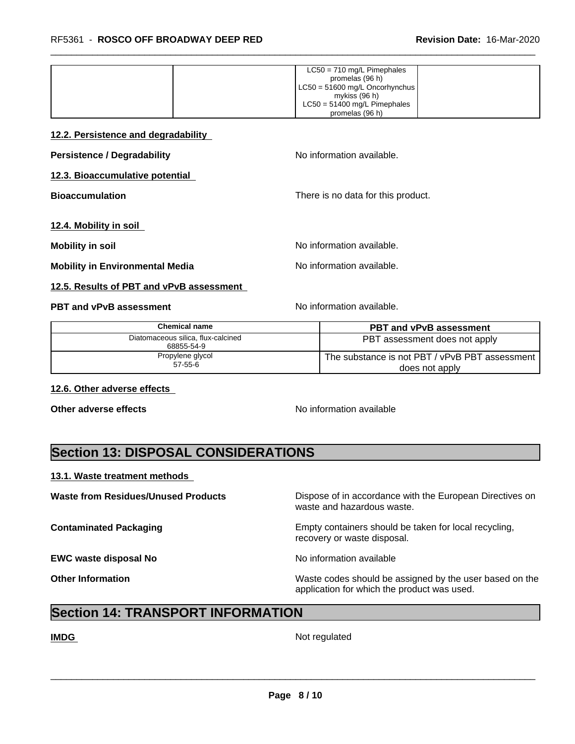| $LC50 = 710$ mg/L Pimephales     |
|----------------------------------|
| promelas (96 h)                  |
| $LC50 = 51600$ mg/L Oncorhynchus |
| mykiss (96 h)                    |
| $LC50 = 51400$ mg/L Pimephales   |
| promelas (96 h)                  |

**12.2. Persistence and degradability**

**Persistence / Degradability** No information available.

**12.3. Bioaccumulative potential**

**Bioaccumulation** There is no data for this product.

**12.4. Mobility in soil**

**Mobility in soil Mobility in soil Mobility in soil** 

**Mobility in Environmental Media** Note and Note No information available.

#### **12.5. Results of PBT and vPvB assessment**

## **PBT and vPvB assessment No information available.** No information available.

| <b>Chemical name</b>                             | <b>PBT and vPvB assessment</b>                                   |
|--------------------------------------------------|------------------------------------------------------------------|
| Diatomaceous silica, flux-calcined<br>68855-54-9 | PBT assessment does not apply                                    |
| Propylene glycol<br>$57 - 55 - 6$                | The substance is not PBT / vPvB PBT assessment<br>does not apply |

**12.6. Other adverse effects** 

**Other adverse effects** No information available

# **Section 13: DISPOSAL CONSIDERATIONS**

## **13.1. Waste treatment methods**

**Waste from Residues/Unused Products** Dispose of in accordance with the European Directives on waste and hazardous waste. **Contaminated Packaging <b>Empty Containers** should be taken for local recycling, recovery or waste disposal. **EWC waste disposal No** Noinformation available **Other Information** Maste codes should be assigned by the user based on the application for which the product was used.

# **Section 14: TRANSPORT INFORMATION**

**IMDG** Not regulated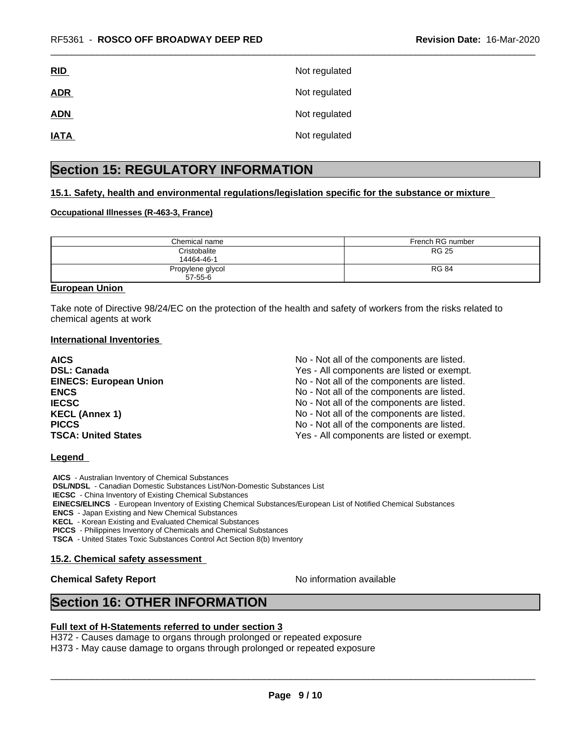| <u>RID</u>  | Not regulated |
|-------------|---------------|
| <b>ADR</b>  | Not regulated |
| <b>ADN</b>  | Not regulated |
| <b>IATA</b> | Not regulated |

# **Section 15: REGULATORY INFORMATION**

## **15.1. Safety, health and environmental regulations/legislation specific for the substance or mixture**

#### **Occupational Illnesses (R-463-3, France)**

| Chemical name                     | French RG number |
|-----------------------------------|------------------|
| Cristobalite<br>14464-46-1        | <b>RG 25</b>     |
| Propylene glycol<br>$57 - 55 - 6$ | <b>RG 84</b>     |

## **European Union**

Take note of Directive 98/24/EC on the protection of the health and safety of workers from the risks related to chemical agents at work

#### **International Inventories**

| <b>AICS</b>                   | No - Not all of the components are listed. |
|-------------------------------|--------------------------------------------|
| <b>DSL: Canada</b>            | Yes - All components are listed or exempt. |
| <b>EINECS: European Union</b> | No - Not all of the components are listed. |
| <b>ENCS</b>                   | No - Not all of the components are listed. |
| <b>IECSC</b>                  | No - Not all of the components are listed. |
| <b>KECL (Annex 1)</b>         | No - Not all of the components are listed. |
| <b>PICCS</b>                  | No - Not all of the components are listed. |
| <b>TSCA: United States</b>    | Yes - All components are listed or exempt. |

#### **Legend**

 **AICS** - Australian Inventory of Chemical Substances  **DSL/NDSL** - Canadian Domestic Substances List/Non-Domestic Substances List  **IECSC** - China Inventory of Existing Chemical Substances  **EINECS/ELINCS** - European Inventory of Existing Chemical Substances/European List of Notified Chemical Substances  **ENCS** - Japan Existing and New Chemical Substances  **KECL** - Korean Existing and Evaluated Chemical Substances  **PICCS** - Philippines Inventory of Chemicals and Chemical Substances

 **TSCA** - United States Toxic Substances Control Act Section 8(b) Inventory

#### **15.2. Chemical safety assessment**

**Chemical Safety Report** No information available

 $\overline{\phantom{a}}$  ,  $\overline{\phantom{a}}$  ,  $\overline{\phantom{a}}$  ,  $\overline{\phantom{a}}$  ,  $\overline{\phantom{a}}$  ,  $\overline{\phantom{a}}$  ,  $\overline{\phantom{a}}$  ,  $\overline{\phantom{a}}$  ,  $\overline{\phantom{a}}$  ,  $\overline{\phantom{a}}$  ,  $\overline{\phantom{a}}$  ,  $\overline{\phantom{a}}$  ,  $\overline{\phantom{a}}$  ,  $\overline{\phantom{a}}$  ,  $\overline{\phantom{a}}$  ,  $\overline{\phantom{a}}$ 

# **Section 16: OTHER INFORMATION**

#### **Full text of H-Statements referred to under section 3**

H372 - Causes damage to organs through prolonged or repeated exposure H373 - May cause damage to organs through prolonged or repeated exposure